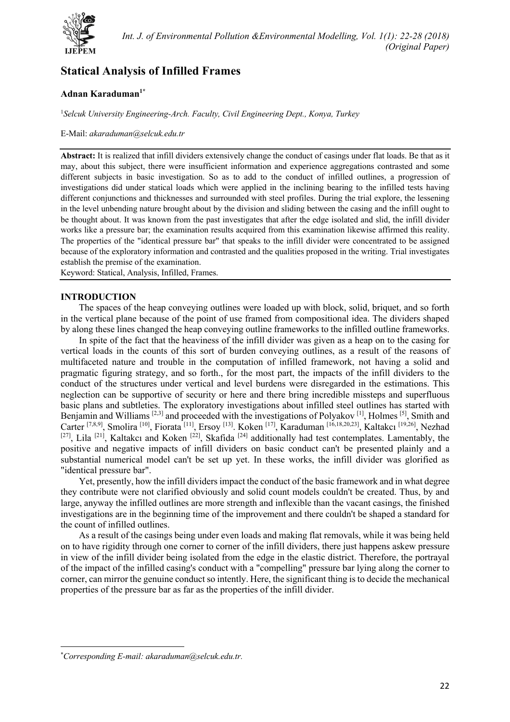

# **Statical Analysis of Infilled Frames**

# **Adnan Karaduman1\***

1 *Selcuk University Engineering-Arch. Faculty, Civil Engineering Dept., Konya, Turkey*

## E-Mail: *akaraduman@selcuk.edu.tr*

**Abstract:** It is realized that infill dividers extensively change the conduct of casings under flat loads. Be that as it may, about this subject, there were insufficient information and experience aggregations contrasted and some different subjects in basic investigation. So as to add to the conduct of infilled outlines, a progression of investigations did under statical loads which were applied in the inclining bearing to the infilled tests having different conjunctions and thicknesses and surrounded with steel profiles. During the trial explore, the lessening in the level unbending nature brought about by the division and sliding between the casing and the infill ought to be thought about. It was known from the past investigates that after the edge isolated and slid, the infill divider works like a pressure bar; the examination results acquired from this examination likewise affirmed this reality. The properties of the "identical pressure bar" that speaks to the infill divider were concentrated to be assigned because of the exploratory information and contrasted and the qualities proposed in the writing. Trial investigates establish the premise of the examination.

Keyword: Statical, Analysis, Infilled, Frames.

# **INTRODUCTION**

The spaces of the heap conveying outlines were loaded up with block, solid, briquet, and so forth in the vertical plane because of the point of use framed from compositional idea. The dividers shaped by along these lines changed the heap conveying outline frameworks to the infilled outline frameworks.

In spite of the fact that the heaviness of the infill divider was given as a heap on to the casing for vertical loads in the counts of this sort of burden conveying outlines, as a result of the reasons of multifaceted nature and trouble in the computation of infilled framework, not having a solid and pragmatic figuring strategy, and so forth., for the most part, the impacts of the infill dividers to the conduct of the structures under vertical and level burdens were disregarded in the estimations. This neglection can be supportive of security or here and there bring incredible missteps and superfluous basic plans and subtleties. The exploratory investigations about infilled steel outlines has started with Benjamin and Williams <sup>[2,3]</sup> and proceeded with the investigations of Polyakov <sup>[1]</sup>, Holmes <sup>[5]</sup>, Smith and Carter <sup>[7,8,9]</sup>, Smolira <sup>[10]</sup>, Fiorata <sup>[11]</sup>, Ersoy <sup>[13]</sup>. Koken <sup>[17]</sup>, Karaduman <sup>[16,18,20,23]</sup>, Kaltakcı <sup>[19,26]</sup>, Nezhad  $[27]$ , Lila  $[21]$ , Kaltakcı and Koken  $[22]$ , Skafida  $[24]$  additionally had test contemplates. Lamentably, the positive and negative impacts of infill dividers on basic conduct can't be presented plainly and a substantial numerical model can't be set up yet. In these works, the infill divider was glorified as "identical pressure bar".

Yet, presently, how the infill dividers impact the conduct of the basic framework and in what degree they contribute were not clarified obviously and solid count models couldn't be created. Thus, by and large, anyway the infilled outlines are more strength and inflexible than the vacant casings, the finished investigations are in the beginning time of the improvement and there couldn't be shaped a standard for the count of infilled outlines.

As a result of the casings being under even loads and making flat removals, while it was being held on to have rigidity through one corner to corner of the infill dividers, there just happens askew pressure in view of the infill divider being isolated from the edge in the elastic district. Therefore, the portrayal of the impact of the infilled casing's conduct with a "compelling" pressure bar lying along the corner to corner, can mirror the genuine conduct so intently. Here, the significant thing is to decide the mechanical properties of the pressure bar as far as the properties of the infill divider.

<sup>\*</sup> *Corresponding E-mail: akaraduman@selcuk.edu.tr.*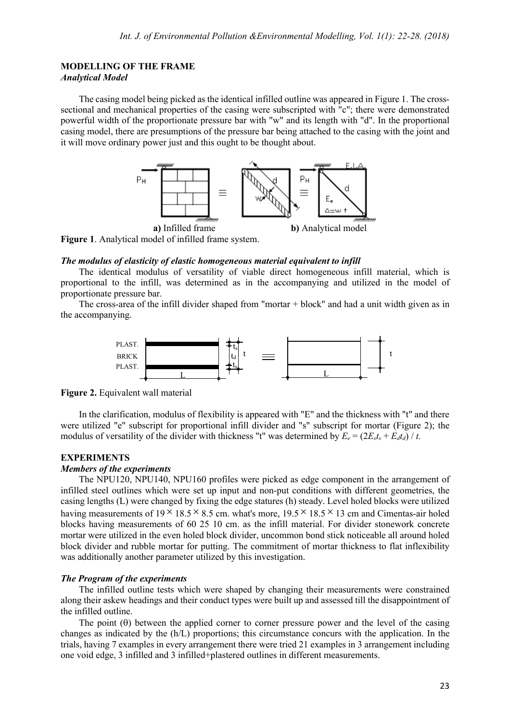#### **MODELLING OF THE FRAME** *Analytical Model*

The casing model being picked as the identical infilled outline was appeared in Figure 1. The crosssectional and mechanical properties of the casing were subscripted with "c"; there were demonstrated powerful width of the proportionate pressure bar with "w" and its length with "d". In the proportional casing model, there are presumptions of the pressure bar being attached to the casing with the joint and it will move ordinary power just and this ought to be thought about.



**Figure 1**. Analytical model of infilled frame system.

## *The modulus of elasticity of elastic homogeneous material equivalent to infill*

The identical modulus of versatility of viable direct homogeneous infill material, which is proportional to the infill, was determined as in the accompanying and utilized in the model of proportionate pressure bar.

The cross-area of the infill divider shaped from "mortar + block" and had a unit width given as in the accompanying.



**Figure 2.** Equivalent wall material

In the clarification, modulus of flexibility is appeared with "E" and the thickness with "t" and there were utilized "e" subscript for proportional infill divider and "s" subscript for mortar (Figure 2); the modulus of versatility of the divider with thickness "t" was determined by  $E_e = (2E_s t_s + E_d t_d) / t$ .

## **EXPERIMENTS**

#### *Members of the experiments*

The NPU120, NPU140, NPU160 profiles were picked as edge component in the arrangement of infilled steel outlines which were set up input and non-put conditions with different geometries, the casing lengths (L) were changed by fixing the edge statures (h) steady. Level holed blocks were utilized having measurements of  $19 \times 18.5 \times 8.5$  cm. what's more,  $19.5 \times 18.5 \times 13$  cm and Cimentas-air holed blocks having measurements of 60 25 10 cm. as the infill material. For divider stonework concrete mortar were utilized in the even holed block divider, uncommon bond stick noticeable all around holed block divider and rubble mortar for putting. The commitment of mortar thickness to flat inflexibility was additionally another parameter utilized by this investigation.

#### *The Program of the experiments*

The infilled outline tests which were shaped by changing their measurements were constrained along their askew headings and their conduct types were built up and assessed till the disappointment of the infilled outline.

The point  $(\theta)$  between the applied corner to corner pressure power and the level of the casing changes as indicated by the (h/L) proportions; this circumstance concurs with the application. In the trials, having 7 examples in every arrangement there were tried 21 examples in 3 arrangement including one void edge, 3 infilled and 3 infilled+plastered outlines in different measurements.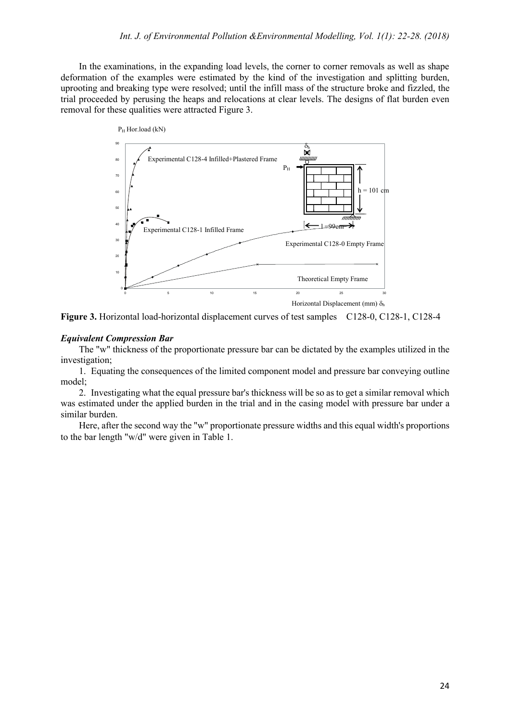In the examinations, in the expanding load levels, the corner to corner removals as well as shape deformation of the examples were estimated by the kind of the investigation and splitting burden, uprooting and breaking type were resolved; until the infill mass of the structure broke and fizzled, the trial proceeded by perusing the heaps and relocations at clear levels. The designs of flat burden even removal for these qualities were attracted Figure 3.



**Figure 3.** Horizontal load-horizontal displacement curves of test samples C128-0, C128-1, C128-4

#### *Equivalent Compression Bar*

The "w" thickness of the proportionate pressure bar can be dictated by the examples utilized in the investigation;

1. Equating the consequences of the limited component model and pressure bar conveying outline model;

2. Investigating what the equal pressure bar's thickness will be so as to get a similar removal which was estimated under the applied burden in the trial and in the casing model with pressure bar under a similar burden.

Here, after the second way the "w" proportionate pressure widths and this equal width's proportions to the bar length "w/d" were given in Table 1.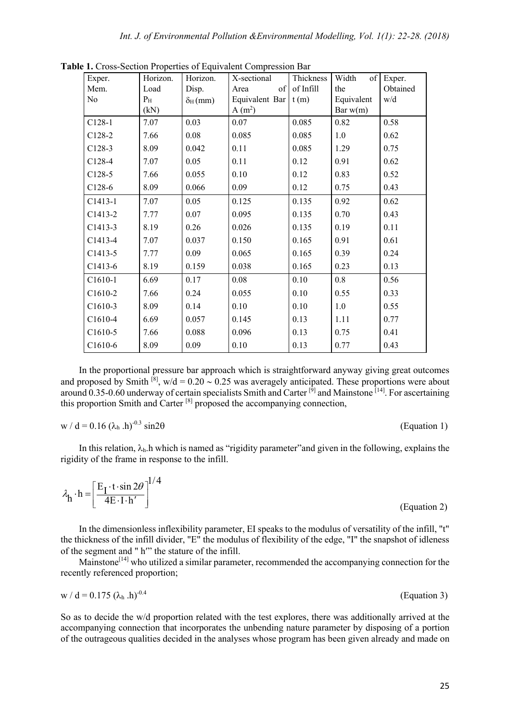|                | Horizon.               | Horizon.        | $\alpha$ is cross been in reperties of Equivalent compression But<br>X-sectional | Thickness | of<br>Width |                    |
|----------------|------------------------|-----------------|----------------------------------------------------------------------------------|-----------|-------------|--------------------|
| Exper.<br>Mem. |                        |                 | of                                                                               | of Infill | the         | Exper.<br>Obtained |
| No             | Load<br>P <sub>H</sub> | Disp.           | Area<br>Equivalent Bar                                                           | t(m)      | Equivalent  | w/d                |
|                | (kN)                   | $\delta_H$ (mm) | $A(m^2)$                                                                         |           | Bar $w(m)$  |                    |
|                |                        |                 |                                                                                  |           |             |                    |
| $C128-1$       | 7.07                   | 0.03            | 0.07                                                                             | 0.085     | 0.82        | 0.58               |
| C128-2         | 7.66                   | 0.08            | 0.085                                                                            | 0.085     | 1.0         | 0.62               |
| $C128-3$       | 8.09                   | 0.042           | 0.11                                                                             | 0.085     | 1.29        | 0.75               |
| C128-4         | 7.07                   | 0.05            | 0.11                                                                             | 0.12      | 0.91        | 0.62               |
| C128-5         | 7.66                   | 0.055           | 0.10                                                                             | 0.12      | 0.83        | 0.52               |
| C128-6         | 8.09                   | 0.066           | 0.09                                                                             | 0.12      | 0.75        | 0.43               |
| $C1413-1$      | 7.07                   | 0.05            | 0.125                                                                            | 0.135     | 0.92        | 0.62               |
| C1413-2        | 7.77                   | 0.07            | 0.095                                                                            | 0.135     | 0.70        | 0.43               |
| $C1413-3$      | 8.19                   | 0.26            | 0.026                                                                            | 0.135     | 0.19        | 0.11               |
| $C1413-4$      | 7.07                   | 0.037           | 0.150                                                                            | 0.165     | 0.91        | 0.61               |
| $C1413-5$      | 7.77                   | 0.09            | 0.065                                                                            | 0.165     | 0.39        | 0.24               |
| $C1413-6$      | 8.19                   | 0.159           | 0.038                                                                            | 0.165     | 0.23        | 0.13               |
| $C1610-1$      | 6.69                   | 0.17            | 0.08                                                                             | 0.10      | 0.8         | 0.56               |
| $C1610-2$      | 7.66                   | 0.24            | 0.055                                                                            | 0.10      | 0.55        | 0.33               |
| $C1610-3$      | 8.09                   | 0.14            | 0.10                                                                             | 0.10      | 1.0         | 0.55               |
| $C1610-4$      | 6.69                   | 0.057           | 0.145                                                                            | 0.13      | 1.11        | 0.77               |
| $C1610-5$      | 7.66                   | 0.088           | 0.096                                                                            | 0.13      | 0.75        | 0.41               |
| $C1610-6$      | 8.09                   | 0.09            | 0.10                                                                             | 0.13      | 0.77        | 0.43               |

**Table 1.** Cross-Section Properties of Equivalent Compression Bar

In the proportional pressure bar approach which is straightforward anyway giving great outcomes and proposed by Smith <sup>[8]</sup>, w/d = 0.20  $\sim$  0.25 was averagely anticipated. These proportions were about around 0.35-0.60 underway of certain specialists Smith and Carter  $^{[9]}$  and Mainstone  $^{[14]}$ . For ascertaining this proportion Smith and Carter [8] proposed the accompanying connection,

w / d = 0.16 (
$$
\lambda_h
$$
.h)<sup>-0.3</sup> sin2 $\theta$ 

In this relation,  $\lambda_h$ .h which is named as "rigidity parameter" and given in the following, explains the rigidity of the frame in response to the infill.

$$
\lambda_h \cdot h = \left[ \frac{E_I \cdot t \cdot \sin 2\theta}{4E \cdot I \cdot h'} \right]^{1/4}
$$

In the dimensionless inflexibility parameter, EI speaks to the modulus of versatility of the infill, "t" the thickness of the infill divider, "E" the modulus of flexibility of the edge, "I" the snapshot of idleness of the segment and " h'" the stature of the infill.

Mainstone<sup>[14]</sup> who utilized a similar parameter, recommended the accompanying connection for the recently referenced proportion;

$$
w / d = 0.175 \ (\lambda_h \ h)^{-0.4}
$$
 (Equation 3)

So as to decide the w/d proportion related with the test explores, there was additionally arrived at the accompanying connection that incorporates the unbending nature parameter by disposing of a portion of the outrageous qualities decided in the analyses whose program has been given already and made on

 $(Equation 1)$ 

(Equation 2)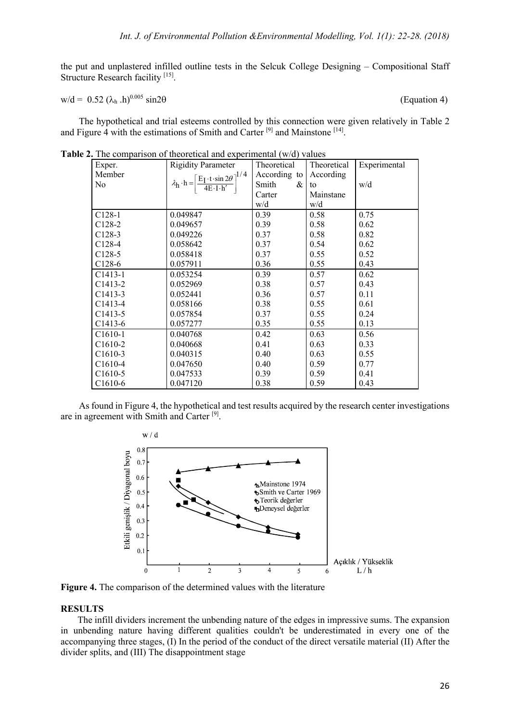the put and unplastered infilled outline tests in the Selcuk College Designing – Compositional Staff Structure Research facility<sup>[15]</sup>.

$$
w/d = 0.52 \left(\lambda_h \cdot h\right)^{0.005} \sin 2\theta \tag{Equation 4}
$$

The hypothetical and trial esteems controlled by this connection were given relatively in Table 2 and Figure 4 with the estimations of Smith and Carter [9] and Mainstone [14].

| Exper.              | <b>Rigidity Parameter</b>                                                                             | Theoretical   | Theoretical | Experimental |
|---------------------|-------------------------------------------------------------------------------------------------------|---------------|-------------|--------------|
| Member              |                                                                                                       | According to  | According   |              |
| N <sub>0</sub>      | $\lambda_h \cdot h = \left[ \frac{E_I \cdot t \cdot \sin 2\theta}{4E \cdot I \cdot h'} \right]^{1/4}$ | $\&$<br>Smith | to          | w/d          |
|                     |                                                                                                       | Carter        | Mainstane   |              |
|                     |                                                                                                       | w/d           | w/d         |              |
| C <sub>128</sub> -1 | 0.049847                                                                                              | 0.39          | 0.58        | 0.75         |
| $C128-2$            | 0.049657                                                                                              | 0.39          | 0.58        | 0.62         |
| $C128-3$            | 0.049226                                                                                              | 0.37          | 0.58        | 0.82         |
| $C128-4$            | 0.058642                                                                                              | 0.37          | 0.54        | 0.62         |
| $C128-5$            | 0.058418                                                                                              | 0.37          | 0.55        | 0.52         |
| $C128-6$            | 0.057911                                                                                              | 0.36          | 0.55        | 0.43         |
| $C1413-1$           | 0.053254                                                                                              | 0.39          | 0.57        | 0.62         |
| $C1413-2$           | 0.052969                                                                                              | 0.38          | 0.57        | 0.43         |
| $C1413-3$           | 0.052441                                                                                              | 0.36          | 0.57        | 0.11         |
| $C1413-4$           | 0.058166                                                                                              | 0.38          | 0.55        | 0.61         |
| $C1413-5$           | 0.057854                                                                                              | 0.37          | 0.55        | 0.24         |
| $C1413-6$           | 0.057277                                                                                              | 0.35          | 0.55        | 0.13         |
| $C1610-1$           | 0.040768                                                                                              | 0.42          | 0.63        | 0.56         |
| $C1610-2$           | 0.040668                                                                                              | 0.41          | 0.63        | 0.33         |
| $C1610-3$           | 0.040315                                                                                              | 0.40          | 0.63        | 0.55         |
| $C1610-4$           | 0.047650                                                                                              | 0.40          | 0.59        | 0.77         |
| $C1610-5$           | 0.047533                                                                                              | 0.39          | 0.59        | 0.41         |
| $C1610-6$           | 0.047120                                                                                              | 0.38          | 0.59        | 0.43         |

**Table 2.** The comparison of theoretical and experimental (w/d) values

As found in Figure 4, the hypothetical and test results acquired by the research center investigations are in agreement with Smith and Carter<sup>[9]</sup>.



**Figure 4.** The comparison of the determined values with the literature

### **RESULTS**

The infill dividers increment the unbending nature of the edges in impressive sums. The expansion in unbending nature having different qualities couldn't be underestimated in every one of the accompanying three stages, (I) In the period of the conduct of the direct versatile material (II) After the divider splits, and (III) The disappointment stage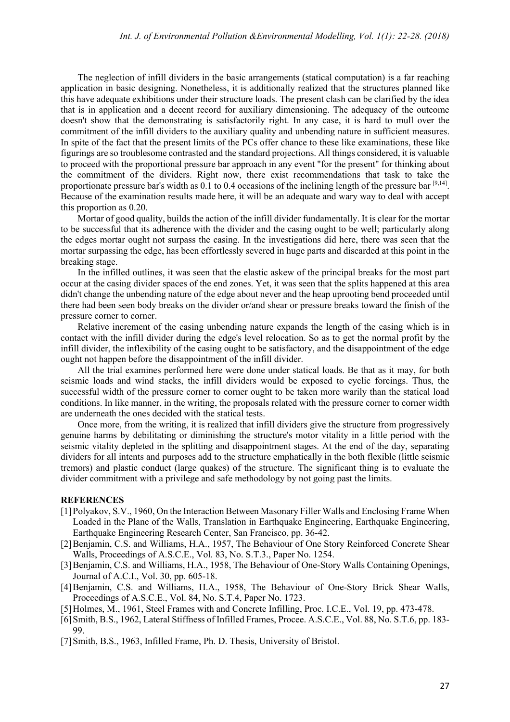The neglection of infill dividers in the basic arrangements (statical computation) is a far reaching application in basic designing. Nonetheless, it is additionally realized that the structures planned like this have adequate exhibitions under their structure loads. The present clash can be clarified by the idea that is in application and a decent record for auxiliary dimensioning. The adequacy of the outcome doesn't show that the demonstrating is satisfactorily right. In any case, it is hard to mull over the commitment of the infill dividers to the auxiliary quality and unbending nature in sufficient measures. In spite of the fact that the present limits of the PCs offer chance to these like examinations, these like figurings are so troublesome contrasted and the standard projections. All things considered, it is valuable to proceed with the proportional pressure bar approach in any event "for the present" for thinking about the commitment of the dividers. Right now, there exist recommendations that task to take the proportionate pressure bar's width as  $0.1$  to  $0.4$  occasions of the inclining length of the pressure bar  $[9,14]$ . Because of the examination results made here, it will be an adequate and wary way to deal with accept this proportion as 0.20.

Mortar of good quality, builds the action of the infill divider fundamentally. It is clear for the mortar to be successful that its adherence with the divider and the casing ought to be well; particularly along the edges mortar ought not surpass the casing. In the investigations did here, there was seen that the mortar surpassing the edge, has been effortlessly severed in huge parts and discarded at this point in the breaking stage.

In the infilled outlines, it was seen that the elastic askew of the principal breaks for the most part occur at the casing divider spaces of the end zones. Yet, it was seen that the splits happened at this area didn't change the unbending nature of the edge about never and the heap uprooting bend proceeded until there had been seen body breaks on the divider or/and shear or pressure breaks toward the finish of the pressure corner to corner.

Relative increment of the casing unbending nature expands the length of the casing which is in contact with the infill divider during the edge's level relocation. So as to get the normal profit by the infill divider, the inflexibility of the casing ought to be satisfactory, and the disappointment of the edge ought not happen before the disappointment of the infill divider.

All the trial examines performed here were done under statical loads. Be that as it may, for both seismic loads and wind stacks, the infill dividers would be exposed to cyclic forcings. Thus, the successful width of the pressure corner to corner ought to be taken more warily than the statical load conditions. In like manner, in the writing, the proposals related with the pressure corner to corner width are underneath the ones decided with the statical tests.

Once more, from the writing, it is realized that infill dividers give the structure from progressively genuine harms by debilitating or diminishing the structure's motor vitality in a little period with the seismic vitality depleted in the splitting and disappointment stages. At the end of the day, separating dividers for all intents and purposes add to the structure emphatically in the both flexible (little seismic tremors) and plastic conduct (large quakes) of the structure. The significant thing is to evaluate the divider commitment with a privilege and safe methodology by not going past the limits.

#### **REFERENCES**

- [1]Polyakov, S.V., 1960, On the Interaction Between Masonary Filler Walls and Enclosing Frame When Loaded in the Plane of the Walls, Translation in Earthquake Engineering, Earthquake Engineering, Earthquake Engineering Research Center, San Francisco, pp. 36-42.
- [2]Benjamin, C.S. and Williams, H.A., 1957, The Behaviour of One Story Reinforced Concrete Shear Walls, Proceedings of A.S.C.E., Vol. 83, No. S.T.3., Paper No. 1254.
- [3]Benjamin, C.S. and Williams, H.A., 1958, The Behaviour of One-Story Walls Containing Openings, Journal of A.C.I., Vol. 30, pp. 605-18.
- [4] Benjamin, C.S. and Williams, H.A., 1958, The Behaviour of One-Story Brick Shear Walls, Proceedings of A.S.C.E., Vol. 84, No. S.T.4, Paper No. 1723.
- [5]Holmes, M., 1961, Steel Frames with and Concrete Infilling, Proc. I.C.E., Vol. 19, pp. 473-478.
- [6]Smith, B.S., 1962, Lateral Stiffness of Infilled Frames, Procee. A.S.C.E., Vol. 88, No. S.T.6, pp. 183- 99.
- [7] Smith, B.S., 1963, Infilled Frame, Ph. D. Thesis, University of Bristol.